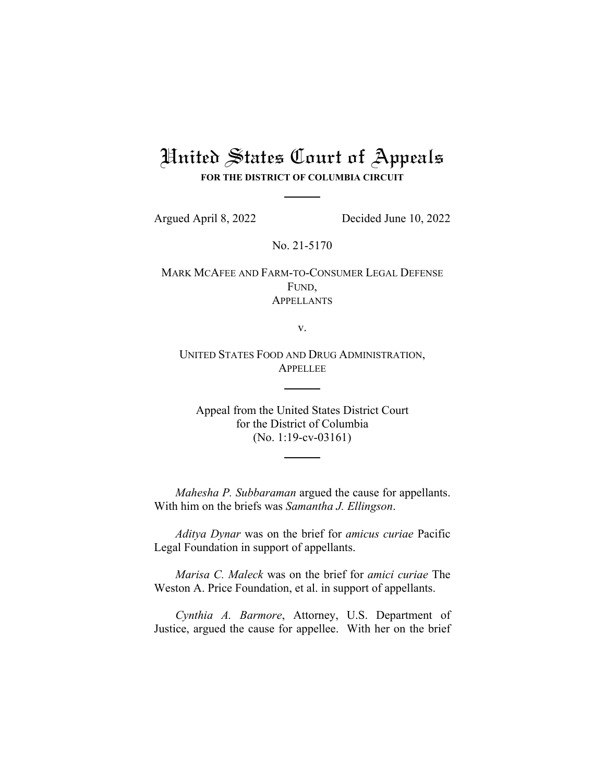## United States Court of Appeals

**FOR THE DISTRICT OF COLUMBIA CIRCUIT**

Argued April 8, 2022 Decided June 10, 2022

No. 21-5170

MARK MCAFEE AND FARM-TO-CONSUMER LEGAL DEFENSE FUND, **APPELLANTS** 

v.

UNITED STATES FOOD AND DRUG ADMINISTRATION, APPELLEE

Appeal from the United States District Court for the District of Columbia (No. 1:19-cv-03161)

*Mahesha P. Subbaraman* argued the cause for appellants. With him on the briefs was *Samantha J. Ellingson*.

*Aditya Dynar* was on the brief for *amicus curiae* Pacific Legal Foundation in support of appellants.

*Marisa C. Maleck* was on the brief for *amici curiae* The Weston A. Price Foundation, et al. in support of appellants.

*Cynthia A. Barmore*, Attorney, U.S. Department of Justice, argued the cause for appellee. With her on the brief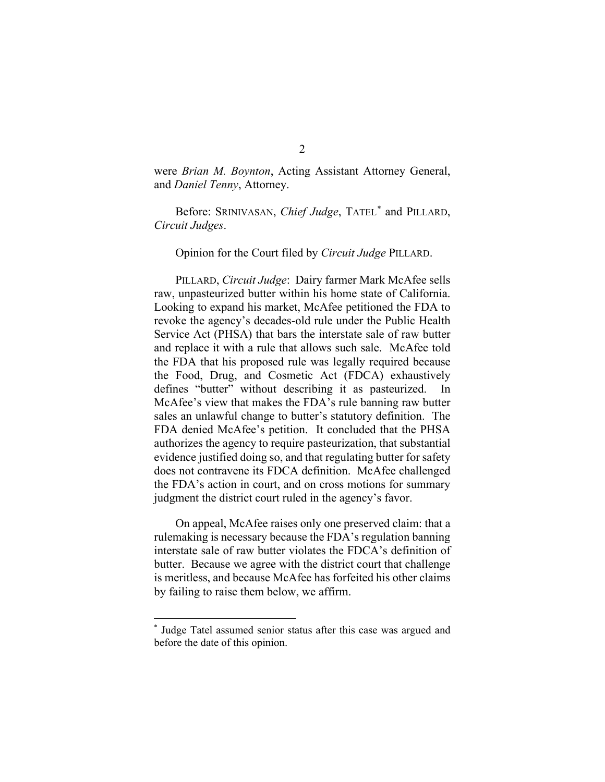were *Brian M. Boynton*, Acting Assistant Attorney General, and *Daniel Tenny*, Attorney.

Before: SRINIVASAN, *Chief Judge*, TATEL[\\*](#page-1-0) and PILLARD, *Circuit Judges*.

Opinion for the Court filed by *Circuit Judge* PILLARD.

PILLARD, *Circuit Judge*: Dairy farmer Mark McAfee sells raw, unpasteurized butter within his home state of California. Looking to expand his market, McAfee petitioned the FDA to revoke the agency's decades-old rule under the Public Health Service Act (PHSA) that bars the interstate sale of raw butter and replace it with a rule that allows such sale. McAfee told the FDA that his proposed rule was legally required because the Food, Drug, and Cosmetic Act (FDCA) exhaustively defines "butter" without describing it as pasteurized. McAfee's view that makes the FDA's rule banning raw butter sales an unlawful change to butter's statutory definition. The FDA denied McAfee's petition. It concluded that the PHSA authorizes the agency to require pasteurization, that substantial evidence justified doing so, and that regulating butter for safety does not contravene its FDCA definition. McAfee challenged the FDA's action in court, and on cross motions for summary judgment the district court ruled in the agency's favor.

On appeal, McAfee raises only one preserved claim: that a rulemaking is necessary because the FDA's regulation banning interstate sale of raw butter violates the FDCA's definition of butter. Because we agree with the district court that challenge is meritless, and because McAfee has forfeited his other claims by failing to raise them below, we affirm.

<span id="page-1-0"></span><sup>\*</sup> Judge Tatel assumed senior status after this case was argued and before the date of this opinion.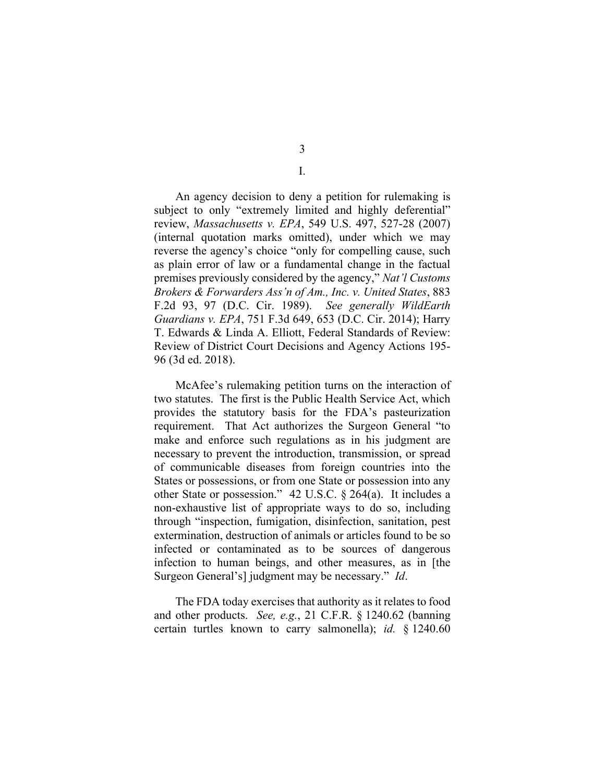An agency decision to deny a petition for rulemaking is subject to only "extremely limited and highly deferential" review, *Massachusetts v. EPA*, 549 U.S. 497, 527-28 (2007) (internal quotation marks omitted), under which we may

reverse the agency's choice "only for compelling cause, such as plain error of law or a fundamental change in the factual premises previously considered by the agency," *Nat'l Customs Brokers & Forwarders Ass'n of Am., Inc. v. United States*, 883 F.2d 93, 97 (D.C. Cir. 1989). *See generally WildEarth Guardians v. EPA*, 751 F.3d 649, 653 (D.C. Cir. 2014); Harry T. Edwards & Linda A. Elliott, Federal Standards of Review: Review of District Court Decisions and Agency Actions 195- 96 (3d ed. 2018).

McAfee's rulemaking petition turns on the interaction of two statutes. The first is the Public Health Service Act, which provides the statutory basis for the FDA's pasteurization requirement. That Act authorizes the Surgeon General "to make and enforce such regulations as in his judgment are necessary to prevent the introduction, transmission, or spread of communicable diseases from foreign countries into the States or possessions, or from one State or possession into any other State or possession." 42 U.S.C. § 264(a). It includes a non-exhaustive list of appropriate ways to do so, including through "inspection, fumigation, disinfection, sanitation, pest extermination, destruction of animals or articles found to be so infected or contaminated as to be sources of dangerous infection to human beings, and other measures, as in [the Surgeon General's] judgment may be necessary." *Id*.

The FDA today exercises that authority as it relates to food and other products. *See, e.g.*, 21 C.F.R. § 1240.62 (banning certain turtles known to carry salmonella); *id.* § 1240.60

3 I.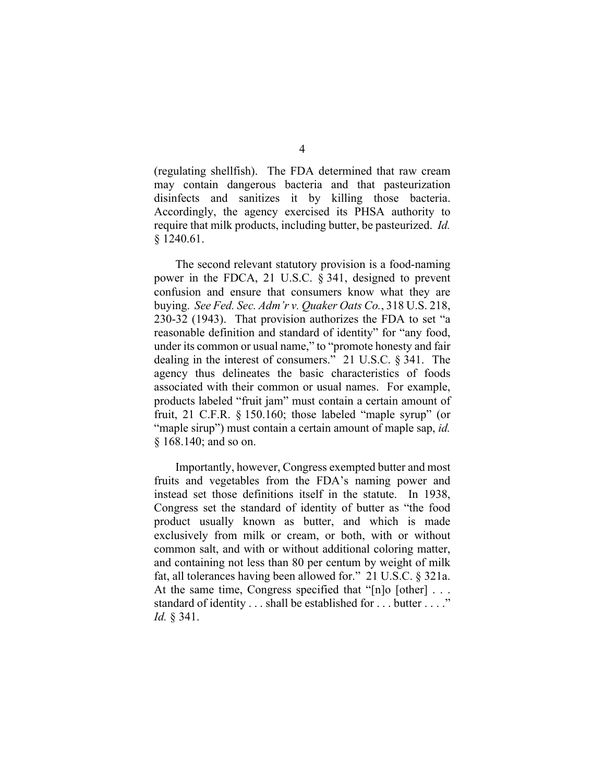(regulating shellfish). The FDA determined that raw cream may contain dangerous bacteria and that pasteurization disinfects and sanitizes it by killing those bacteria. Accordingly, the agency exercised its PHSA authority to require that milk products, including butter, be pasteurized. *Id.* § 1240.61.

The second relevant statutory provision is a food-naming power in the FDCA, 21 U.S.C. § 341, designed to prevent confusion and ensure that consumers know what they are buying. *See Fed. Sec. Adm'r v. Quaker Oats Co.*, 318 U.S. 218, 230-32 (1943). That provision authorizes the FDA to set "a reasonable definition and standard of identity" for "any food, under its common or usual name," to "promote honesty and fair dealing in the interest of consumers." 21 U.S.C. § 341. The agency thus delineates the basic characteristics of foods associated with their common or usual names. For example, products labeled "fruit jam" must contain a certain amount of fruit, 21 C.F.R. § 150.160; those labeled "maple syrup" (or "maple sirup") must contain a certain amount of maple sap, *id.* § 168.140; and so on.

Importantly, however, Congress exempted butter and most fruits and vegetables from the FDA's naming power and instead set those definitions itself in the statute. In 1938, Congress set the standard of identity of butter as "the food product usually known as butter, and which is made exclusively from milk or cream, or both, with or without common salt, and with or without additional coloring matter, and containing not less than 80 per centum by weight of milk fat, all tolerances having been allowed for." 21 U.S.C. § 321a. At the same time, Congress specified that "[n]o [other] ... standard of identity . . . shall be established for . . . butter . . . ." *Id.* § 341.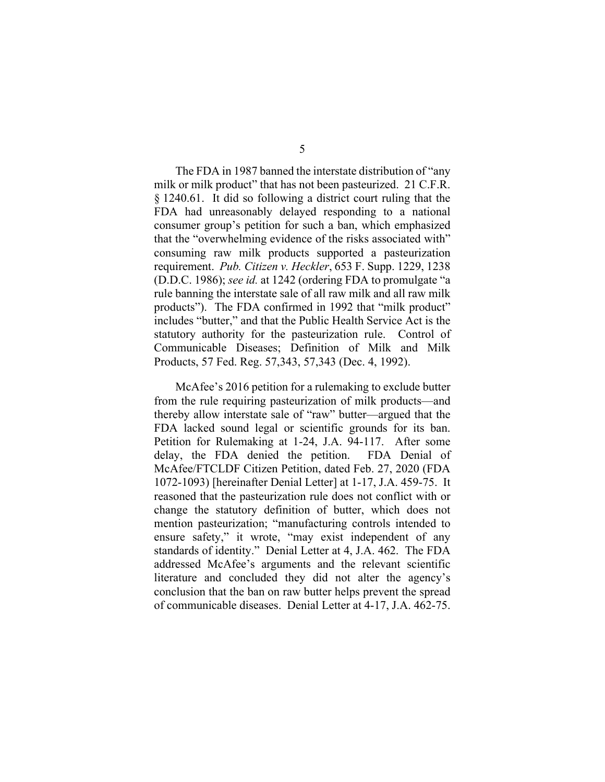The FDA in 1987 banned the interstate distribution of "any milk or milk product" that has not been pasteurized. 21 C.F.R. § 1240.61. It did so following a district court ruling that the FDA had unreasonably delayed responding to a national consumer group's petition for such a ban, which emphasized that the "overwhelming evidence of the risks associated with" consuming raw milk products supported a pasteurization requirement. *Pub. Citizen v. Heckler*, 653 F. Supp. 1229, 1238 (D.D.C. 1986); *see id.* at 1242 (ordering FDA to promulgate "a rule banning the interstate sale of all raw milk and all raw milk products"). The FDA confirmed in 1992 that "milk product" includes "butter," and that the Public Health Service Act is the statutory authority for the pasteurization rule. Control of Communicable Diseases; Definition of Milk and Milk Products, 57 Fed. Reg. 57,343, 57,343 (Dec. 4, 1992).

McAfee's 2016 petition for a rulemaking to exclude butter from the rule requiring pasteurization of milk products—and thereby allow interstate sale of "raw" butter—argued that the FDA lacked sound legal or scientific grounds for its ban. Petition for Rulemaking at 1-24, J.A. 94-117. After some delay, the FDA denied the petition. FDA Denial of McAfee/FTCLDF Citizen Petition, dated Feb. 27, 2020 (FDA 1072-1093) [hereinafter Denial Letter] at 1-17, J.A. 459-75. It reasoned that the pasteurization rule does not conflict with or change the statutory definition of butter, which does not mention pasteurization; "manufacturing controls intended to ensure safety," it wrote, "may exist independent of any standards of identity." Denial Letter at 4, J.A. 462. The FDA addressed McAfee's arguments and the relevant scientific literature and concluded they did not alter the agency's conclusion that the ban on raw butter helps prevent the spread of communicable diseases. Denial Letter at 4-17, J.A. 462-75.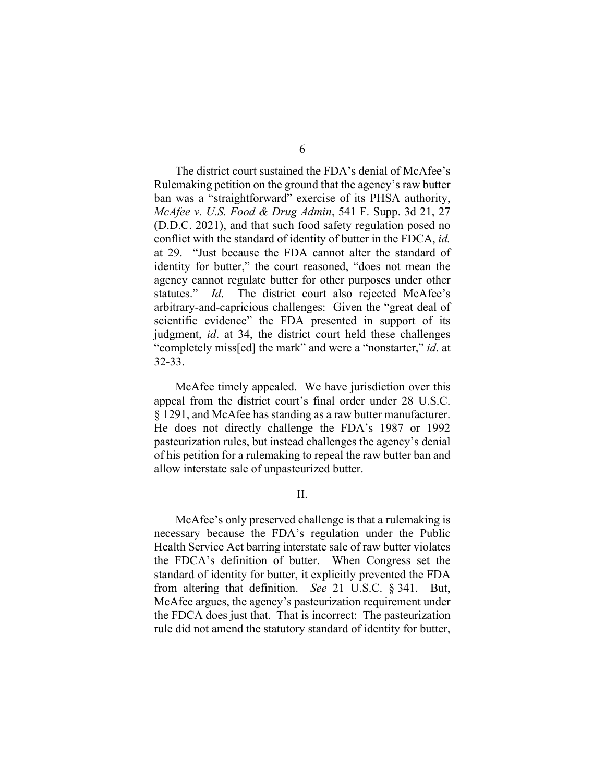The district court sustained the FDA's denial of McAfee's Rulemaking petition on the ground that the agency's raw butter ban was a "straightforward" exercise of its PHSA authority, *McAfee v. U.S. Food & Drug Admin*, 541 F. Supp. 3d 21, 27 (D.D.C. 2021), and that such food safety regulation posed no conflict with the standard of identity of butter in the FDCA, *id.*  at 29. "Just because the FDA cannot alter the standard of identity for butter," the court reasoned, "does not mean the agency cannot regulate butter for other purposes under other statutes." *Id*. The district court also rejected McAfee's arbitrary-and-capricious challenges: Given the "great deal of scientific evidence" the FDA presented in support of its judgment, *id*. at 34, the district court held these challenges "completely miss[ed] the mark" and were a "nonstarter," *id*. at 32-33.

McAfee timely appealed. We have jurisdiction over this appeal from the district court's final order under 28 U.S.C. § 1291, and McAfee has standing as a raw butter manufacturer. He does not directly challenge the FDA's 1987 or 1992 pasteurization rules, but instead challenges the agency's denial of his petition for a rulemaking to repeal the raw butter ban and allow interstate sale of unpasteurized butter.

II.

McAfee's only preserved challenge is that a rulemaking is necessary because the FDA's regulation under the Public Health Service Act barring interstate sale of raw butter violates the FDCA's definition of butter. When Congress set the standard of identity for butter, it explicitly prevented the FDA from altering that definition. *See* 21 U.S.C. § 341. But, McAfee argues, the agency's pasteurization requirement under the FDCA does just that. That is incorrect: The pasteurization rule did not amend the statutory standard of identity for butter,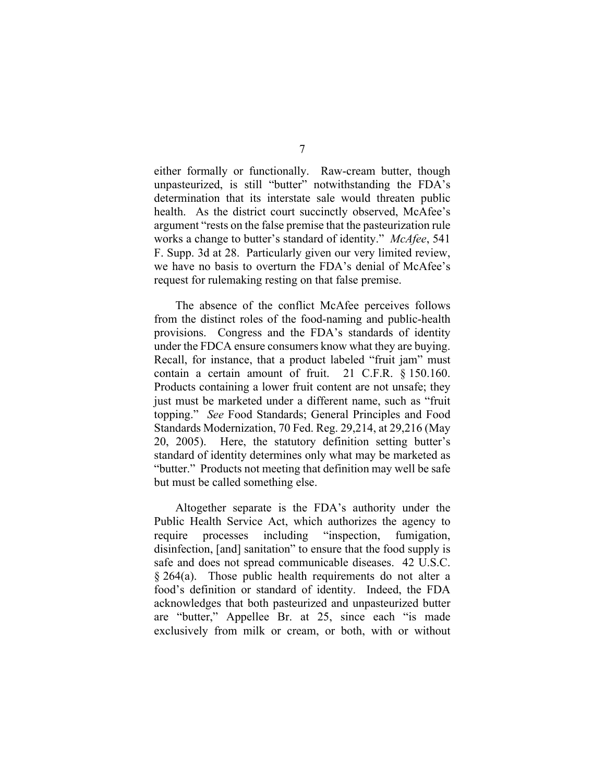either formally or functionally. Raw-cream butter, though unpasteurized, is still "butter" notwithstanding the FDA's determination that its interstate sale would threaten public health. As the district court succinctly observed, McAfee's argument "rests on the false premise that the pasteurization rule works a change to butter's standard of identity." *McAfee*, 541 F. Supp. 3d at 28. Particularly given our very limited review, we have no basis to overturn the FDA's denial of McAfee's request for rulemaking resting on that false premise.

The absence of the conflict McAfee perceives follows from the distinct roles of the food-naming and public-health provisions. Congress and the FDA's standards of identity under the FDCA ensure consumers know what they are buying. Recall, for instance, that a product labeled "fruit jam" must contain a certain amount of fruit. 21 C.F.R. § 150.160. Products containing a lower fruit content are not unsafe; they just must be marketed under a different name, such as "fruit" topping." *See* Food Standards; General Principles and Food Standards Modernization, 70 Fed. Reg. 29,214, at 29,216 (May 20, 2005). Here, the statutory definition setting butter's standard of identity determines only what may be marketed as "butter." Products not meeting that definition may well be safe but must be called something else.

Altogether separate is the FDA's authority under the Public Health Service Act, which authorizes the agency to require processes including "inspection, fumigation, disinfection, [and] sanitation" to ensure that the food supply is safe and does not spread communicable diseases. 42 U.S.C. § 264(a). Those public health requirements do not alter a food's definition or standard of identity. Indeed, the FDA acknowledges that both pasteurized and unpasteurized butter are "butter," Appellee Br. at 25, since each "is made exclusively from milk or cream, or both, with or without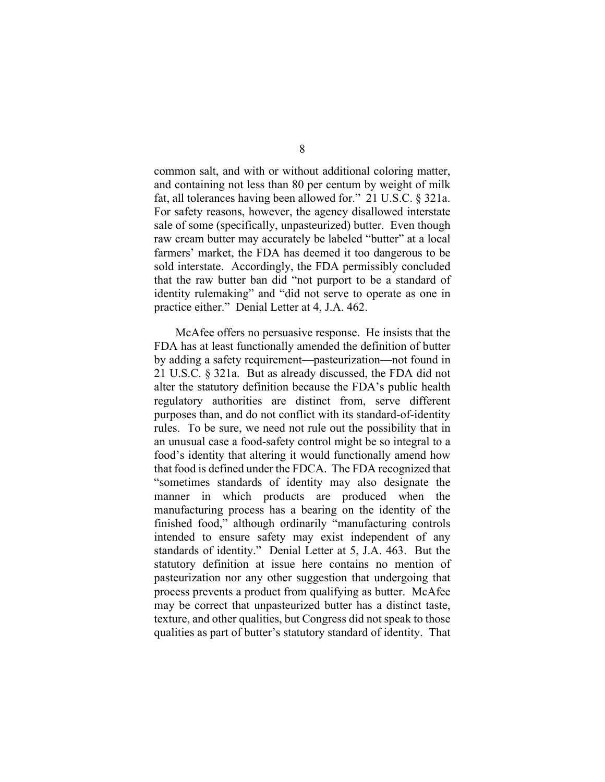common salt, and with or without additional coloring matter, and containing not less than 80 per centum by weight of milk fat, all tolerances having been allowed for." 21 U.S.C. § 321a. For safety reasons, however, the agency disallowed interstate sale of some (specifically, unpasteurized) butter. Even though raw cream butter may accurately be labeled "butter" at a local farmers' market, the FDA has deemed it too dangerous to be sold interstate. Accordingly, the FDA permissibly concluded that the raw butter ban did "not purport to be a standard of identity rulemaking" and "did not serve to operate as one in practice either." Denial Letter at 4, J.A. 462.

McAfee offers no persuasive response. He insists that the FDA has at least functionally amended the definition of butter by adding a safety requirement—pasteurization—not found in 21 U.S.C. § 321a. But as already discussed, the FDA did not alter the statutory definition because the FDA's public health regulatory authorities are distinct from, serve different purposes than, and do not conflict with its standard-of-identity rules. To be sure, we need not rule out the possibility that in an unusual case a food-safety control might be so integral to a food's identity that altering it would functionally amend how that food is defined under the FDCA. The FDA recognized that "sometimes standards of identity may also designate the manner in which products are produced when the manufacturing process has a bearing on the identity of the finished food," although ordinarily "manufacturing controls intended to ensure safety may exist independent of any standards of identity." Denial Letter at 5, J.A. 463. But the statutory definition at issue here contains no mention of pasteurization nor any other suggestion that undergoing that process prevents a product from qualifying as butter. McAfee may be correct that unpasteurized butter has a distinct taste, texture, and other qualities, but Congress did not speak to those qualities as part of butter's statutory standard of identity. That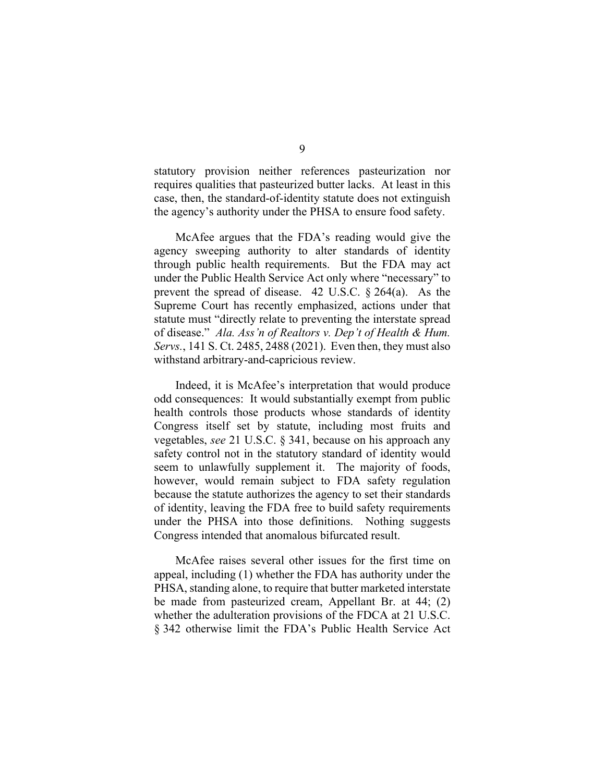statutory provision neither references pasteurization nor requires qualities that pasteurized butter lacks. At least in this case, then, the standard-of-identity statute does not extinguish the agency's authority under the PHSA to ensure food safety.

McAfee argues that the FDA's reading would give the agency sweeping authority to alter standards of identity through public health requirements. But the FDA may act under the Public Health Service Act only where "necessary" to prevent the spread of disease. 42 U.S.C. § 264(a). As the Supreme Court has recently emphasized, actions under that statute must "directly relate to preventing the interstate spread of disease." *Ala. Ass'n of Realtors v. Dep't of Health & Hum. Servs.*, 141 S. Ct. 2485, 2488 (2021). Even then, they must also withstand arbitrary-and-capricious review.

Indeed, it is McAfee's interpretation that would produce odd consequences: It would substantially exempt from public health controls those products whose standards of identity Congress itself set by statute, including most fruits and vegetables, *see* 21 U.S.C. § 341, because on his approach any safety control not in the statutory standard of identity would seem to unlawfully supplement it. The majority of foods, however, would remain subject to FDA safety regulation because the statute authorizes the agency to set their standards of identity, leaving the FDA free to build safety requirements under the PHSA into those definitions. Nothing suggests Congress intended that anomalous bifurcated result.

McAfee raises several other issues for the first time on appeal, including (1) whether the FDA has authority under the PHSA, standing alone, to require that butter marketed interstate be made from pasteurized cream, Appellant Br. at 44; (2) whether the adulteration provisions of the FDCA at 21 U.S.C. § 342 otherwise limit the FDA's Public Health Service Act